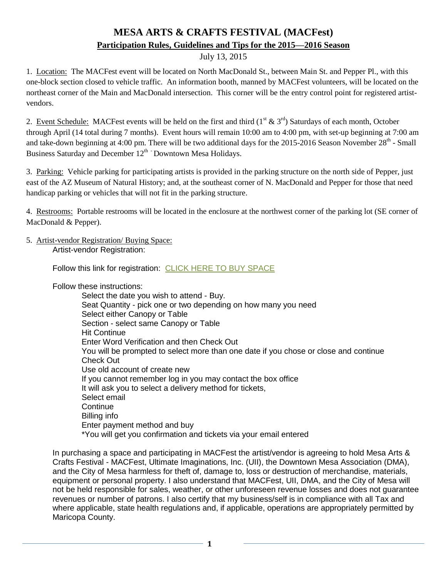# **MESA ARTS & CRAFTS FESTIVAL (MACFest) Participation Rules, Guidelines and Tips for the 2015—2016 Season**

## July 13, 2015

1. Location: The MACFest event will be located on North MacDonald St., between Main St. and Pepper Pl., with this one-block section closed to vehicle traffic. An information booth, manned by MACFest volunteers, will be located on the northeast corner of the Main and MacDonald intersection. This corner will be the entry control point for registered artistvendors.

2. Event Schedule: MACFest events will be held on the first and third  $(1<sup>st</sup> & 3<sup>rd</sup>)$  Saturdays of each month, October through April (14 total during 7 months). Event hours will remain 10:00 am to 4:00 pm, with set-up beginning at 7:00 am and take-down beginning at 4:00 pm. There will be two additional days for the 2015-2016 Season November  $28<sup>th</sup>$  - Small Business Saturday and December  $12<sup>th</sup>$  Downtown Mesa Holidays.

3. Parking: Vehicle parking for participating artists is provided in the parking structure on the north side of Pepper, just east of the AZ Museum of Natural History; and, at the southeast corner of N. MacDonald and Pepper for those that need handicap parking or vehicles that will not fit in the parking structure.

4. Restrooms: Portable restrooms will be located in the enclosure at the northwest corner of the parking lot (SE corner of MacDonald & Pepper).

5. Artist-vendor Registration/ Buying Space:

Artist-vendor Registration:

Follow this link for registration: [CLICK HERE TO BUY SPACE](https://boxoffice.mesaartscenter.com/Online/default.asp?doWork::WScontent::loadArticle=Load&BOparam::WScontent::loadArticle::article_id=025BACD1-6D8F-44EB-B631-8D65820F86CB)

Follow these instructions:

Select the date you wish to attend - Buy. Seat Quantity - pick one or two depending on how many you need Select either Canopy or Table Section - select same Canopy or Table Hit Continue Enter Word Verification and then Check Out You will be prompted to select more than one date if you chose or close and continue Check Out Use old account of create new If you cannot remember log in you may contact the box office It will ask you to select a delivery method for tickets, Select email **Continue** Billing info Enter payment method and buy \*You will get you confirmation and tickets via your email entered

In purchasing a space and participating in MACFest the artist/vendor is agreeing to hold Mesa Arts & Crafts Festival - MACFest, Ultimate Imaginations, Inc. (UII), the Downtown Mesa Association (DMA), and the City of Mesa harmless for theft of, damage to, loss or destruction of merchandise, materials, equipment or personal property. I also understand that MACFest, UII, DMA, and the City of Mesa will not be held responsible for sales, weather, or other unforeseen revenue losses and does not guarantee revenues or number of patrons. I also certify that my business/self is in compliance with all Tax and where applicable, state health regulations and, if applicable, operations are appropriately permitted by Maricopa County.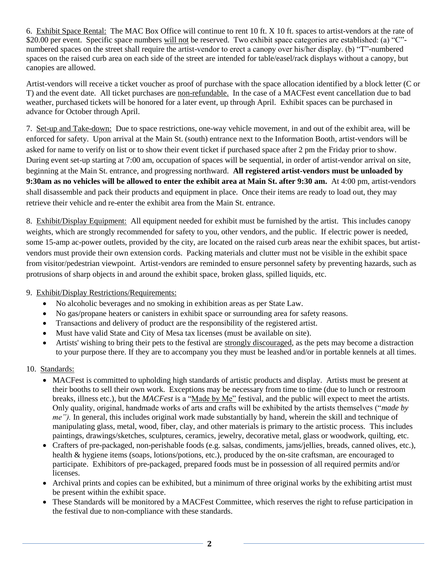6. Exhibit Space Rental: The MAC Box Office will continue to rent 10 ft. X 10 ft. spaces to artist-vendors at the rate of \$20.00 per event. Specific space numbers will not be reserved. Two exhibit space categories are established: (a) "C"numbered spaces on the street shall require the artist-vendor to erect a canopy over his/her display. (b) "T"-numbered spaces on the raised curb area on each side of the street are intended for table/easel/rack displays without a canopy, but canopies are allowed.

Artist-vendors will receive a ticket voucher as proof of purchase with the space allocation identified by a block letter (C or T) and the event date. All ticket purchases are non-refundable. In the case of a MACFest event cancellation due to bad weather, purchased tickets will be honored for a later event, up through April. Exhibit spaces can be purchased in advance for October through April.

7. Set-up and Take-down: Due to space restrictions, one-way vehicle movement, in and out of the exhibit area, will be enforced for safety. Upon arrival at the Main St. (south) entrance next to the Information Booth, artist-vendors will be asked for name to verify on list or to show their event ticket if purchased space after 2 pm the Friday prior to show. During event set-up starting at 7:00 am, occupation of spaces will be sequential, in order of artist-vendor arrival on site, beginning at the Main St. entrance, and progressing northward. **All registered artist-vendors must be unloaded by 9:30am as no vehicles will be allowed to enter the exhibit area at Main St. after 9:30 am.** At 4:00 pm, artist-vendors shall disassemble and pack their products and equipment in place. Once their items are ready to load out, they may retrieve their vehicle and re-enter the exhibit area from the Main St. entrance.

8. Exhibit/Display Equipment: All equipment needed for exhibit must be furnished by the artist. This includes canopy weights, which are strongly recommended for safety to you, other vendors, and the public. If electric power is needed, some 15-amp ac-power outlets, provided by the city, are located on the raised curb areas near the exhibit spaces, but artistvendors must provide their own extension cords. Packing materials and clutter must not be visible in the exhibit space from visitor/pedestrian viewpoint. Artist-vendors are reminded to ensure personnel safety by preventing hazards, such as protrusions of sharp objects in and around the exhibit space, broken glass, spilled liquids, etc.

#### 9. Exhibit/Display Restrictions/Requirements:

- No alcoholic beverages and no smoking in exhibition areas as per State Law.
- No gas/propane heaters or canisters in exhibit space or surrounding area for safety reasons.
- Transactions and delivery of product are the responsibility of the registered artist.
- Must have valid State and City of Mesa tax licenses (must be available on site).
- Artists' wishing to bring their pets to the festival are strongly discouraged, as the pets may become a distraction to your purpose there. If they are to accompany you they must be leashed and/or in portable kennels at all times.

## 10. Standards:

- MACFest is committed to upholding high standards of artistic products and display. Artists must be present at their booths to sell their own work. Exceptions may be necessary from time to time (due to lunch or restroom breaks, illness etc.), but the *MACFest* is a "Made by Me" festival, and the public will expect to meet the artists. Only quality, original, handmade works of arts and crafts will be exhibited by the artists themselves ("*made by me").* In general, this includes original work made substantially by hand, wherein the skill and technique of manipulating glass, metal, wood, fiber, clay, and other materials is primary to the artistic process. This includes paintings, drawings/sketches, sculptures, ceramics, jewelry, decorative metal, glass or woodwork, quilting, etc.
- Crafters of pre-packaged, non-perishable foods (e.g. salsas, condiments, jams/jellies, breads, canned olives, etc.), health & hygiene items (soaps, lotions/potions, etc.), produced by the on-site craftsman, are encouraged to participate. Exhibitors of pre-packaged, prepared foods must be in possession of all required permits and/or licenses.
- Archival prints and copies can be exhibited, but a minimum of three original works by the exhibiting artist must be present within the exhibit space.
- These Standards will be monitored by a MACFest Committee, which reserves the right to refuse participation in the festival due to non-compliance with these standards.